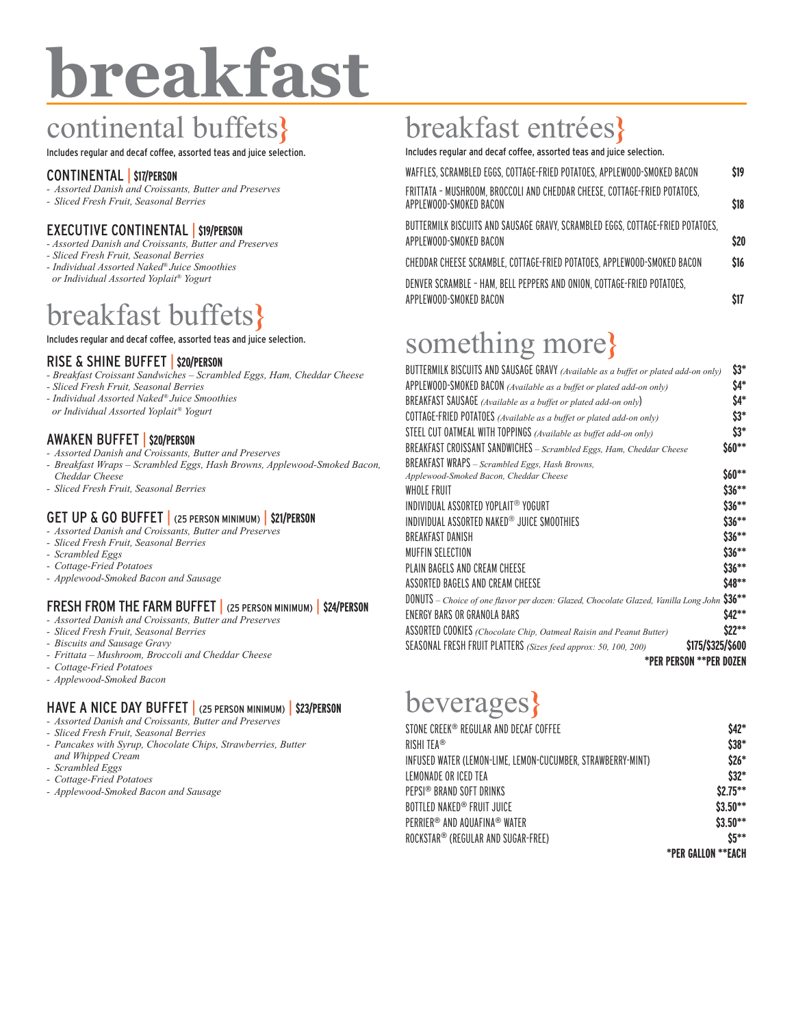# **breakfast**

# continental buffets**}**

Includes regular and decaf coffee, assorted teas and juice selection.

### CONTINENTAL | **\$17/PERSON**

- *- Assorted Danish and Croissants, Butter and Preserves*
- *- Sliced Fresh Fruit, Seasonal Berries*

# EXECUTIVE CONTINENTAL | **\$19/PERSON**

- *Assorted Danish and Croissants, Butter and Preserves*
- *Sliced Fresh Fruit, Seasonal Berries*
- *Individual Assorted Naked® Juice Smoothies or Individual Assorted Yoplait® Yogurt*

# breakfast buffets**}**

Includes regular and decaf coffee, assorted teas and juice selection.

#### RISE & SHINE BUFFET | **\$20/PERSON**

- *Breakfast Croissant Sandwiches Scrambled Eggs, Ham, Cheddar Cheese*
- *Sliced Fresh Fruit, Seasonal Berries*
- *Individual Assorted Naked® Juice Smoothies*
- *or Individual Assorted Yoplait® Yogurt*

## AWAKEN BUFFET | **\$20/PERSON**

- *- Assorted Danish and Croissants, Butter and Preserves*
- *- Breakfast Wraps Scrambled Eggs, Hash Browns, Applewood-Smoked Bacon, Cheddar Cheese*
- *- Sliced Fresh Fruit, Seasonal Berries*

## GET UP & GO BUFFET | (25 PERSON MINIMUM) | **\$21/PERSON**

- *- Assorted Danish and Croissants, Butter and Preserves*
- *- Sliced Fresh Fruit, Seasonal Berries*
- *- Scrambled Eggs*
- *- Cottage-Fried Potatoes*
- *- Applewood-Smoked Bacon and Sausage*

# FRESH FROM THE FARM BUFFET | (25 PERSON MINIMUM) | **\$24/PERSON**

- *- Assorted Danish and Croissants, Butter and Preserves*
- *- Sliced Fresh Fruit, Seasonal Berries*
- *- Biscuits and Sausage Gravy*
- *- Frittata Mushroom, Broccoli and Cheddar Cheese*
- *- Cottage-Fried Potatoes*
- *- Applewood-Smoked Bacon*

# HAVE A NICE DAY BUFFET | (25 PERSON MINIMUM) | **\$23/PERSON**

- *- Assorted Danish and Croissants, Butter and Preserves*
- *- Sliced Fresh Fruit, Seasonal Berries*
- *- Pancakes with Syrup, Chocolate Chips, Strawberries, Butter and Whipped Cream*
- *- Scrambled Eggs*
- *- Cottage-Fried Potatoes*
- *- Applewood-Smoked Bacon and Sausage*

# breakfast entrées**}**

Includes regular and decaf coffee, assorted teas and juice selection.

| WAFFLES, SCRAMBLED EGGS, COTTAGE-FRIED POTATOES, APPLEWOOD-SMOKED BACON                                  | \$19 |
|----------------------------------------------------------------------------------------------------------|------|
| FRITTATA - MUSHROOM, BROCCOLI AND CHEDDAR CHEESE, COTTAGE-FRIED POTATOES,<br>APPLEWOOD-SMOKED BACON      | \$18 |
| BUTTERMILK BISCUITS AND SAUSAGE GRAVY, SCRAMBLED EGGS, COTTAGE-FRIED POTATOES,<br>APPLEWOOD-SMOKED BACON | \$20 |
| CHEDDAR CHEESE SCRAMBLE, COTTAGE-FRIED POTATOES, APPLEWOOD-SMOKED BACON                                  | \$16 |
| DENVER SCRAMBLE - HAM, BELL PEPPERS AND ONION, COTTAGE-FRIED POTATOES,<br>APPLEWOOD-SMOKED BACON         |      |

# something more**}**

| BUTTERMILK BISCUITS AND SAUSAGE GRAVY (Available as a buffet or plated add-on only)         | \$3*     |
|---------------------------------------------------------------------------------------------|----------|
| APPLEWOOD-SMOKED BACON (Available as a buffet or plated add-on only)                        | \$4*     |
| BREAKFAST SAUSAGE (Available as a buffet or plated add-on only)                             | \$4*     |
| COTTAGE-FRIED POTATOES (Available as a buffet or plated add-on only)                        | $$3*$    |
| STEEL CUT OATMEAL WITH TOPPINGS (Available as buffet add-on only)                           | $$3*$    |
| BREAKFAST CROISSANT SANDWICHES - Scrambled Eggs, Ham, Cheddar Cheese                        | \$60**   |
| BREAKFAST WRAPS - Scrambled Eggs, Hash Browns,                                              |          |
| Applewood-Smoked Bacon, Cheddar Cheese                                                      | $$60**$  |
| WHOLE FRUIT                                                                                 | $$36***$ |
| INDIVIDUAL ASSORTED YOPLAIT® YOGURT                                                         | $$36***$ |
| INDIVIDUAL ASSORTED NAKED® JUICE SMOOTHIES                                                  | $$36***$ |
| BRFAKFAST DANISH                                                                            | $$36***$ |
| MUFFIN SFI FCTION                                                                           | $$36***$ |
| PLAIN BAGELS AND CREAM CHEESE                                                               | $$36***$ |
| ASSORTED BAGELS AND CREAM CHEESE                                                            | \$48**   |
| DONUTS - Choice of one flavor per dozen: Glazed, Chocolate Glazed, Vanilla Long John \$36** |          |
| ENERGY BARS OR GRANOLA BARS                                                                 | \$42**   |
| ASSORTED COOKIES (Chocolate Chip, Oatmeal Raisin and Peanut Butter)                         | $$22***$ |
| \$175/\$325/\$600<br>SEASONAL FRESH FRUIT PLATTERS (Sizes feed approx: 50, 100, 200)        |          |
| *PER PERSON **PER DOZEN                                                                     |          |

# beverages**}**

| STONE CREEK® REGULAR AND DECAF COFFEE                       | \$42*                     |
|-------------------------------------------------------------|---------------------------|
| RISHI TEA <sup>®</sup>                                      | \$38*                     |
| INFUSED WATER (LEMON-LIME, LEMON-CUCUMBER, STRAWBERRY-MINT) | $$26*$                    |
| LEMONADE OR ICED TEA                                        | $$32*$                    |
| PEPSI <sup>®</sup> BRAND SOFT DRINKS                        | $$2.75***$                |
| BOTTLED NAKED <sup>®</sup> FRUIT JUICE                      | $$3.50**$                 |
| PFRRIFR® AND AOUAFINA® WATER                                | $$3.50**$                 |
| ROCKSTAR <sup>®</sup> (REGULAR AND SUGAR-FREE)              | $$5***$                   |
|                                                             | <b>*PER GALLON **EACH</b> |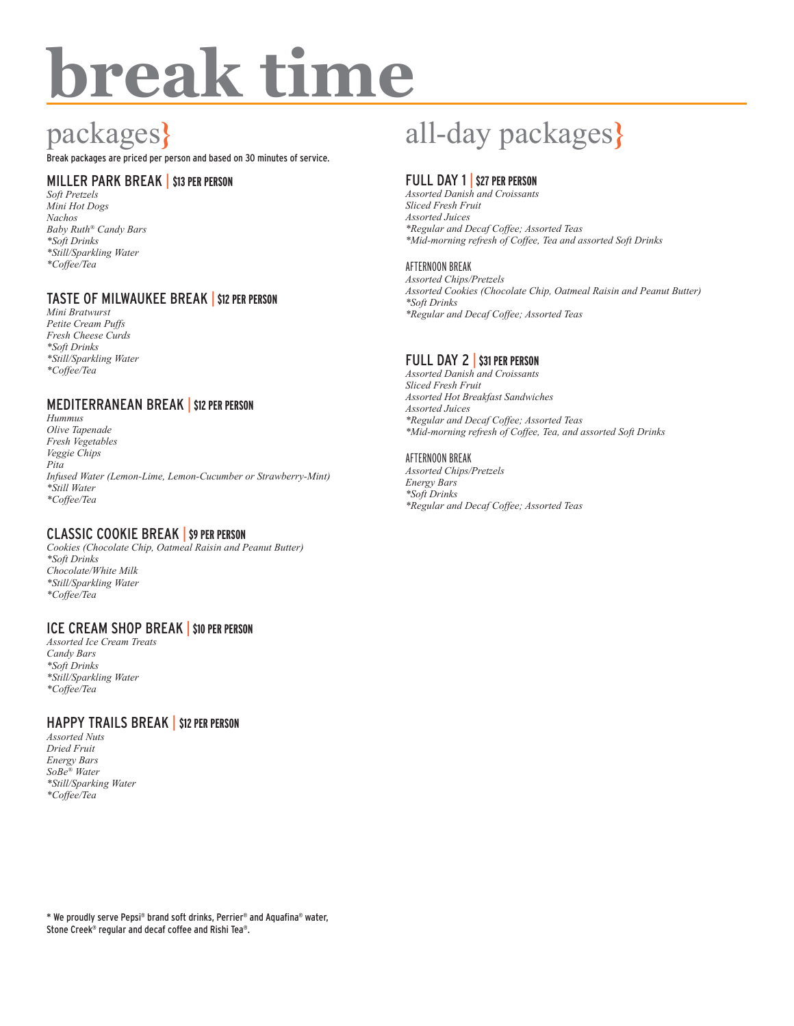# **break time**

# packages**}**

Break packages are priced per person and based on 30 minutes of service.

# MILLER PARK BREAK | **\$13 PER PERSON**

*Soft Pretzels Mini Hot Dogs Nachos Baby Ruth® Candy Bars \*Soft Drinks \*Still/Sparkling Water \*Coffee/Tea* 

## TASTE OF MILWAUKEE BREAK | **\$12 PER PERSON**

*Mini Bratwurst Petite Cream Puffs Fresh Cheese Curds \*Soft Drinks \*Still/Sparkling Water \*Coffee/Tea* 

### MEDITERRANEAN BREAK | **\$12 PER PERSON**

*Hummus Olive Tapenade Fresh Vegetables Veggie Chips Pita Infused Water (Lemon-Lime, Lemon-Cucumber or Strawberry-Mint) \*Still Water \*Coffee/Tea* 

## CLASSIC COOKIE BREAK | **\$9 PER PERSON**

*Cookies (Chocolate Chip, Oatmeal Raisin and Peanut Butter) \*Soft Drinks Chocolate/White Milk \*Still/Sparkling Water \*Coffee/Tea* 

#### ICE CREAM SHOP BREAK | **\$10 PER PERSON**

*Assorted Ice Cream Treats Candy Bars \*Soft Drinks \*Still/Sparkling Water \*Coffee/Tea* 

#### HAPPY TRAILS BREAK | **\$12 PER PERSON**

*Assorted Nuts Dried Fruit Energy Bars SoBe® Water \*Still/Sparking Water \*Coffee/Tea* 

# all-day packages**}**

# FULL DAY 1 | **\$27 PER PERSON**

*Assorted Danish and Croissants Sliced Fresh Fruit Assorted Juices \*Regular and Decaf Coffee; Assorted Teas \*Mid-morning refresh of Coffee, Tea and assorted Soft Drinks*

#### AFTERNOON BREAK

*Assorted Chips/Pretzels Assorted Cookies (Chocolate Chip, Oatmeal Raisin and Peanut Butter) \*Soft Drinks \*Regular and Decaf Coffee; Assorted Teas*

## FULL DAY 2 | **\$31 PER PERSON**

*Assorted Danish and Croissants Sliced Fresh Fruit Assorted Hot Breakfast Sandwiches Assorted Juices \*Regular and Decaf Coffee; Assorted Teas \*Mid-morning refresh of Coffee, Tea, and assorted Soft Drinks*

#### AFTERNOON BREAK

*Assorted Chips/Pretzels Energy Bars \*Soft Drinks \*Regular and Decaf Coffee; Assorted Teas*

\* We proudly serve Pepsi® brand soft drinks, Perrier® and Aquafina® water, Stone Creek® regular and decaf coffee and Rishi Tea®.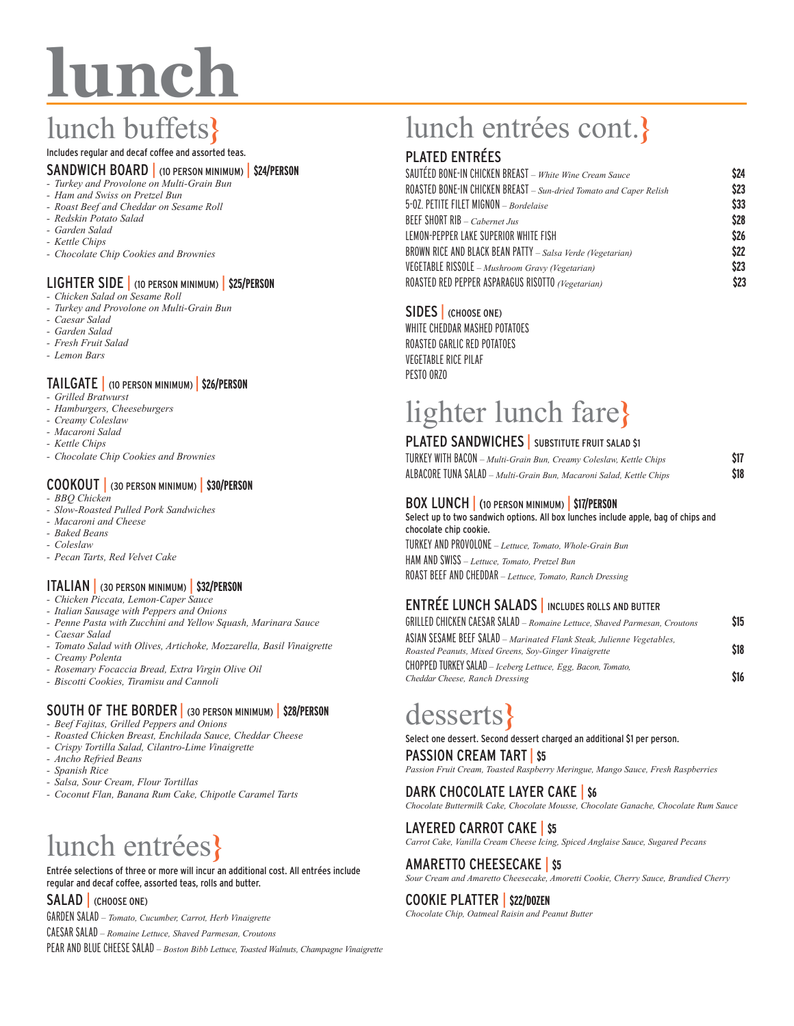# **lunch**

# lunch buffets**}**

### Includes regular and decaf coffee and assorted teas.

#### SANDWICH BOARD | (10 PERSON MINIMUM) | **\$24/PERSON**

- *- Turkey and Provolone on Multi-Grain Bun*
- *- Ham and Swiss on Pretzel Bun*
- *- Roast Beef and Cheddar on Sesame Roll*
- *- Redskin Potato Salad*
- *- Garden Salad*
- *- Kettle Chips*
- *- Chocolate Chip Cookies and Brownies*

#### LIGHTER SIDE | (10 PERSON MINIMUM) | **\$25/PERSON**

- *- Chicken Salad on Sesame Roll*
- *- Turkey and Provolone on Multi-Grain Bun*
- *- Caesar Salad*
- *- Garden Salad*
- *- Fresh Fruit Salad*
- *- Lemon Bars*

#### TAILGATE | (10 PERSON MINIMUM) | **\$26/PERSON**

- *- Grilled Bratwurst*
- *- Hamburgers, Cheeseburgers*
- *- Creamy Coleslaw*
- *- Macaroni Salad*
- *- Kettle Chips*
- *- Chocolate Chip Cookies and Brownies*

## COOKOUT | (30 PERSON MINIMUM) | **\$30/PERSON**

- *- BBQ Chicken*
- *- Slow-Roasted Pulled Pork Sandwiches*
- *- Macaroni and Cheese*
- *- Baked Beans*
- *- Coleslaw*
- *- Pecan Tarts, Red Velvet Cake*

## ITALIAN | (30 PERSON MINIMUM) | **\$32/PERSON**

- *- Chicken Piccata, Lemon-Caper Sauce*
- *- Italian Sausage with Peppers and Onions*
- *- Penne Pasta with Zucchini and Yellow Squash, Marinara Sauce*
- *- Caesar Salad*
- *- Tomato Salad with Olives, Artichoke, Mozzarella, Basil Vinaigrette*
- *- Creamy Polenta*
- *- Rosemary Focaccia Bread, Extra Virgin Olive Oil*
- *- Biscotti Cookies, Tiramisu and Cannoli*

## SOUTH OF THE BORDER | (30 PERSON MINIMUM) | **\$28/PERSON**

- *- Beef Fajitas, Grilled Peppers and Onions*
- *- Roasted Chicken Breast, Enchilada Sauce, Cheddar Cheese*
- *- Crispy Tortilla Salad, Cilantro-Lime Vinaigrette*
- *- Ancho Refried Beans*
- *- Spanish Rice*
- *- Salsa, Sour Cream, Flour Tortillas*
- *- Coconut Flan, Banana Rum Cake, Chipotle Caramel Tarts*

# lunch entrées**}**

Entrée selections of three or more will incur an additional cost. All entrées include regular and decaf coffee, assorted teas, rolls and butter.

#### SALAD (CHOOSE ONE)

GARDEN SALAD *– Tomato, Cucumber, Carrot, Herb Vinaigrette*  CAESAR SALAD *– Romaine Lettuce, Shaved Parmesan, Croutons*

PEAR AND BLUE CHEESE SALAD *– Boston Bibb Lettuce, Toasted Walnuts, Champagne Vinaigrette*

# lunch entrées cont.**}**

# PLATED ENTRÉES

| SAUTÉED BONE-IN CHICKEN BREAST – White Wine Cream Sauce            | \$24 |
|--------------------------------------------------------------------|------|
| ROASTED BONE-IN CHICKEN BREAST - Sun-dried Tomato and Caper Relish | \$23 |
| 5-02. PETITE FILET MIGNON - Bordelaise                             | \$33 |
| BEEF SHORT RIB - Cabernet Jus                                      | \$28 |
| LEMON-PEPPER LAKE SUPERIOR WHITE FISH                              | \$26 |
| BROWN RICE AND BLACK BEAN PATTY - Salsa Verde (Vegetarian)         | \$22 |
| VEGETABLE RISSOLE - Mushroom Gravy (Vegetarian)                    | \$23 |
| ROASTED RED PEPPER ASPARAGUS RISOTTO (Vegetarian)                  | \$23 |

### SIDES | (CHOOSE ONE)

WHITE CHEDDAR MASHED POTATOES ROASTED GARLIC RED POTATOES VEGETABLE RICE PILAF PESTO ORZO

# lighter lunch fare**}**

### PLATED SANDWICHES | SUBSTITUTE FRUIT SALAD \$1

| TURKEY WITH BACON – Multi-Grain Bun, Creamy Coleslaw, Kettle Chips  | \$17 |
|---------------------------------------------------------------------|------|
| ALBACORE TUNA SALAD – Multi-Grain Bun, Macaroni Salad, Kettle Chips | \$18 |

#### BOX LUNCH | (10 PERSON MINIMUM) | **\$17/PERSON**

Select up to two sandwich options. All box lunches include apple, bag of chips and chocolate chip cookie. TURKEY AND PROVOLONE *– Lettuce, Tomato, Whole-Grain Bun* HAM AND SWISS *– Lettuce, Tomato, Pretzel Bun* ROAST BEEF AND CHEDDAR *– Lettuce, Tomato, Ranch Dressing*

## ENTRÉE LUNCH SALADS | INCLUDES ROLLS AND BUTTER

| GRILLED CHICKEN CAESAR SALAD - Romaine Lettuce, Shaved Parmesan, Croutons                                                      | \$15 |
|--------------------------------------------------------------------------------------------------------------------------------|------|
| ASIAN SESAME BEEF SALAD - Marinated Flank Steak, Julienne Vegetables,<br>Roasted Peanuts, Mixed Greens, Sov-Ginger Vinaigrette | \$18 |
| CHOPPED TURKEY SALAD - Iceberg Lettuce, Egg, Bacon, Tomato,<br>Cheddar Cheese, Ranch Dressing                                  | \$16 |

# desserts**}**

Select one dessert. Second dessert charged an additional \$1 per person. PASSION CREAM TART | **\$5**

*Passion Fruit Cream, Toasted Raspberry Meringue, Mango Sauce, Fresh Raspberries*

#### DARK CHOCOLATE LAYER CAKE | **\$6**

*Chocolate Buttermilk Cake, Chocolate Mousse, Chocolate Ganache, Chocolate Rum Sauce*

## LAYERED CARROT CAKE | **\$5**

*Carrot Cake, Vanilla Cream Cheese Icing, Spiced Anglaise Sauce, Sugared Pecans*

## AMARETTO CHEESECAKE | **\$5**

*Sour Cream and Amaretto Cheesecake, Amoretti Cookie, Cherry Sauce, Brandied Cherry*

#### COOKIE PLATTER | **\$22/DOZEN**

*Chocolate Chip, Oatmeal Raisin and Peanut Butter*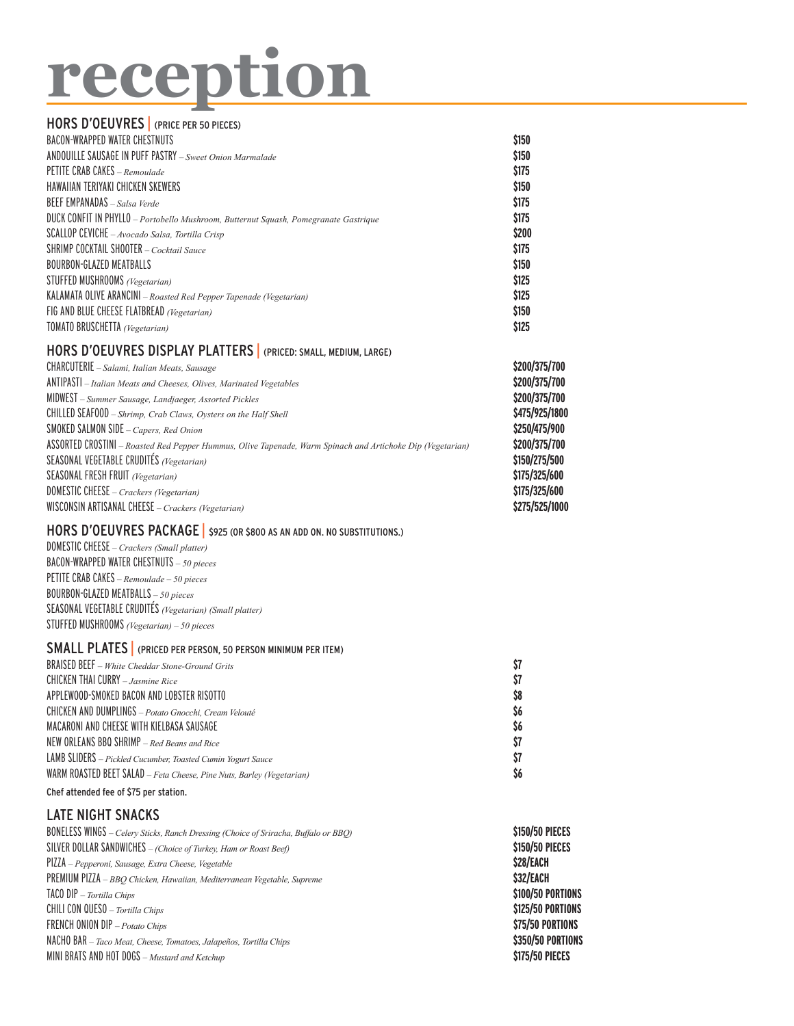# **reception**

### HORS D'OEUVRES | (PRICE PER 50 PIECES) BACON-WRAPPED WATER CHESTNUTS **\$150** ANDOUILLE SAUSAGE IN PUFF PASTRY *– Sweet Onion Marmalade* **\$150** PETITE CRAB CAKES *– Remoulade* **\$175** HAWAIIAN TERIYAKI CHICKEN SKEWERS **\$150** BEEF EMPANADAS *– Salsa Verde* **\$175** DUCK CONFIT IN PHYLLO *– Portobello Mushroom, Butternut Squash, Pomegranate Gastrique* **\$175** SCALLOP CEVICHE *– Avocado Salsa, Tortilla Crisp* **\$200** SHRIMP COCKTAIL SHOOTER *– Cocktail Sauce* **\$175** BOURBON-GLAZED MEATBALLS **\$150** STUFFED MUSHROOMS *(Vegetarian)* **\$125** KALAMATA OLIVE ARANCINI *– Roasted Red Pepper Tapenade (Vegetarian)* **\$125** FIG AND BLUE CHEESE FLATBREAD *(Vegetarian)* **\$150** TOMATO BRUSCHETTA *(Vegetarian)* **\$125** HORS D'OEUVRES DISPLAY PLATTERS | (PRICED: SMALL, MEDIUM, LARGE) CHARCUTERIE *– Salami, Italian Meats, Sausage* **\$200/375/700** ANTIPASTI *– Italian Meats and Cheeses, Olives, Marinated Vegetables* **\$200/375/700** MIDWEST *– Summer Sausage, Landjaeger, Assorted Pickles* **\$200/375/700** CHILLED SEAFOOD *– Shrimp, Crab Claws, Oysters on the Half Shell* **\$475/925/1800** SMOKED SALMON SIDE *– Capers, Red Onion* **\$250/475/900** ASSORTED CROSTINI *– Roasted Red Pepper Hummus, Olive Tapenade, Warm Spinach and Artichoke Dip (Vegetarian)* **\$200/375/700** SEASONAL VEGETABLE CRUDITÉS *(Vegetarian)* **\$150/275/500** SEASONAL FRESH FRUIT *(Vegetarian)* **\$175/325/600** DOMESTIC CHEESE *– Crackers (Vegetarian)* **\$175/325/600** WISCONSIN ARTISANAL CHEESE *– Crackers (Vegetarian)* **\$275/525/1000** HORS D'OEUVRES PACKAGE | \$925 (OR \$800 AS AN ADD ON. NO SUBSTITUTIONS.) DOMESTIC CHEESE *– Crackers (Small platter)* BACON-WRAPPED WATER CHESTNUTS *– 50 pieces*

PETITE CRAB CAKES *– Remoulade – 50 pieces* BOURBON-GLAZED MEATBALLS *– 50 pieces* SEASONAL VEGETABLE CRUDITÉS *(Vegetarian) (Small platter)* STUFFED MUSHROOMS *(Vegetarian) – 50 pieces*

#### SMALL PLATES | (PRICED PER PERSON, 50 PERSON MINIMUM PER ITEM)

| \$7<br><b>BRAISED BEEF</b> – White Cheddar Stone-Ground Grits               |  |
|-----------------------------------------------------------------------------|--|
| \$7<br>CHICKEN THAI CURRY $-$ Jasmine Rice                                  |  |
| \$8<br>APPLEWOOD-SMOKED BACON AND LOBSTER RISOTTO                           |  |
| \$6<br>CHICKEN AND DUMPLINGS - Potato Gnocchi, Cream Velouté                |  |
| Ŝ6<br>MACARONI AND CHEESE WITH KIELBASA SAUSAGE                             |  |
| \$7<br>NEW ORLEANS BBQ SHRIMP $-$ Red Beans and Rice                        |  |
| \$7<br>LAMB SLIDERS - Pickled Cucumber, Toasted Cumin Yogurt Sauce          |  |
| Ŝ6<br>WARM ROASTED BEET SALAD - Feta Cheese, Pine Nuts, Barley (Vegetarian) |  |
|                                                                             |  |

Chef attended fee of \$75 per station.

# LATE NIGHT SNACKS

| BONELESS WINGS - Celery Sticks, Ranch Dressing (Choice of Sriracha, Buffalo or BBQ) | \$150/50 PIECES   |
|-------------------------------------------------------------------------------------|-------------------|
| SILVER DOLLAR SANDWICHES - (Choice of Turkey, Ham or Roast Beef)                    | \$150/50 PIECES   |
| $PlZIA-Pepperoni$ , Sausage, Extra Cheese, Vegetable                                | <b>S28/EACH</b>   |
| PREMIUM PIZZA - BBQ Chicken, Hawaiian, Mediterranean Vegetable, Supreme             | <b>S32/EACH</b>   |
| $TACO DIP$ - Tortilla Chips                                                         | \$100/50 PORTIONS |
| <b>CHILI CON QUESO</b> – <i>Tortilla Chips</i>                                      | \$125/50 PORTIONS |
| FRENCH ONION DIP - Potato Chips                                                     | \$75/50 PORTIONS  |
| NACHO BAR - Taco Meat, Cheese, Tomatoes, Jalapeños, Tortilla Chips                  | \$350/50 PORTIONS |
| MINI BRATS AND HOT DOGS $-Mustard$ and Ketchup                                      | \$175/50 PIECES   |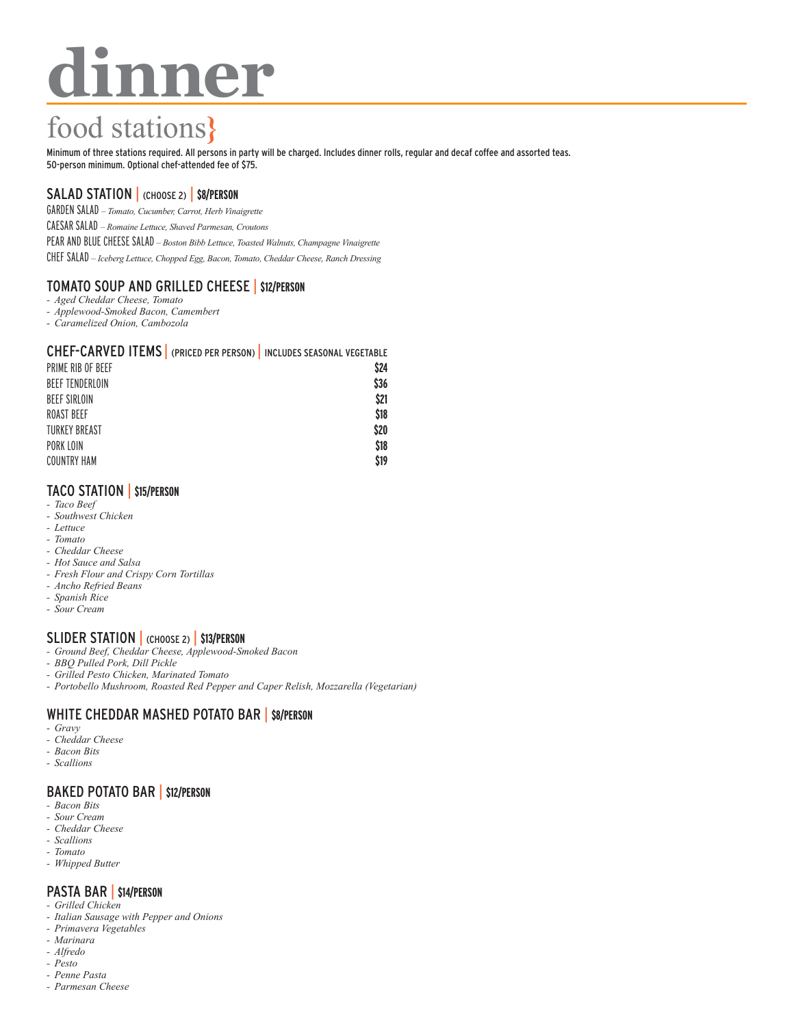# **dinner**

# food stations**}**

Minimum of three stations required. All persons in party will be charged. Includes dinner rolls, regular and decaf coffee and assorted teas. 50-person minimum. Optional chef-attended fee of \$75.

# SALAD STATION | (CHOOSE 2) | **\$8/PERSON**

GARDEN SALAD *– Tomato, Cucumber, Carrot, Herb Vinaigrette*

CAESAR SALAD *– Romaine Lettuce, Shaved Parmesan, Croutons*

PEAR AND BLUE CHEESE SALAD *– Boston Bibb Lettuce, Toasted Walnuts, Champagne Vinaigrette*

CHEF SALAD *– Iceberg Lettuce, Chopped Egg, Bacon, Tomato, Cheddar Cheese, Ranch Dressing*

# TOMATO SOUP AND GRILLED CHEESE | **\$12/PERSON**

- *- Aged Cheddar Cheese, Tomato*
- *- Applewood-Smoked Bacon, Camembert*
- *- Caramelized Onion, Cambozola*

#### CHEF-CARVED ITEMS | (PRICED PER PERSON) | INCLUDES SEASONAL VEGETABLE

| PRIME RIB OF BEEF    | \$24 |
|----------------------|------|
| BEEF TENDERLOIN      | \$36 |
| <b>BEEF SIRLOIN</b>  | \$21 |
| <b>ROAST BEEF</b>    | \$18 |
| <b>TURKEY BREAST</b> | \$20 |
| PORK LOIN            | \$18 |
| <b>COUNTRY HAM</b>   | \$19 |
|                      |      |

## TACO STATION | **\$15/PERSON**

- *- Taco Beef*
- *- Southwest Chicken*
- *- Lettuce*
- *- Tomato*
- *- Cheddar Cheese - Hot Sauce and Salsa*
- *- Fresh Flour and Crispy Corn Tortillas*
- *- Ancho Refried Beans*
- *- Spanish Rice*
- *- Sour Cream*

## SLIDER STATION | (CHOOSE 2) | **\$13/PERSON**

- *- Ground Beef, Cheddar Cheese, Applewood-Smoked Bacon*
- *- BBQ Pulled Pork, Dill Pickle*
- *- Grilled Pesto Chicken, Marinated Tomato*
- *- Portobello Mushroom, Roasted Red Pepper and Caper Relish, Mozzarella (Vegetarian)*

# WHITE CHEDDAR MASHED POTATO BAR | **\$8/PERSON**

- *- Gravy*
- *- Cheddar Cheese*
- *- Bacon Bits*
- *- Scallions*

### BAKED POTATO BAR | **\$12/PERSON**

- *- Bacon Bits*
- *- Sour Cream*
- *- Cheddar Cheese - Scallions*
- *- Tomato*
- *- Whipped Butter*

# PASTA BAR | **\$14/PERSON**

- *- Grilled Chicken*
- *- Italian Sausage with Pepper and Onions*
- *- Primavera Vegetables*
- *- Marinara - Alfredo*
- *- Pesto*
- *- Penne Pasta*
- *- Parmesan Cheese*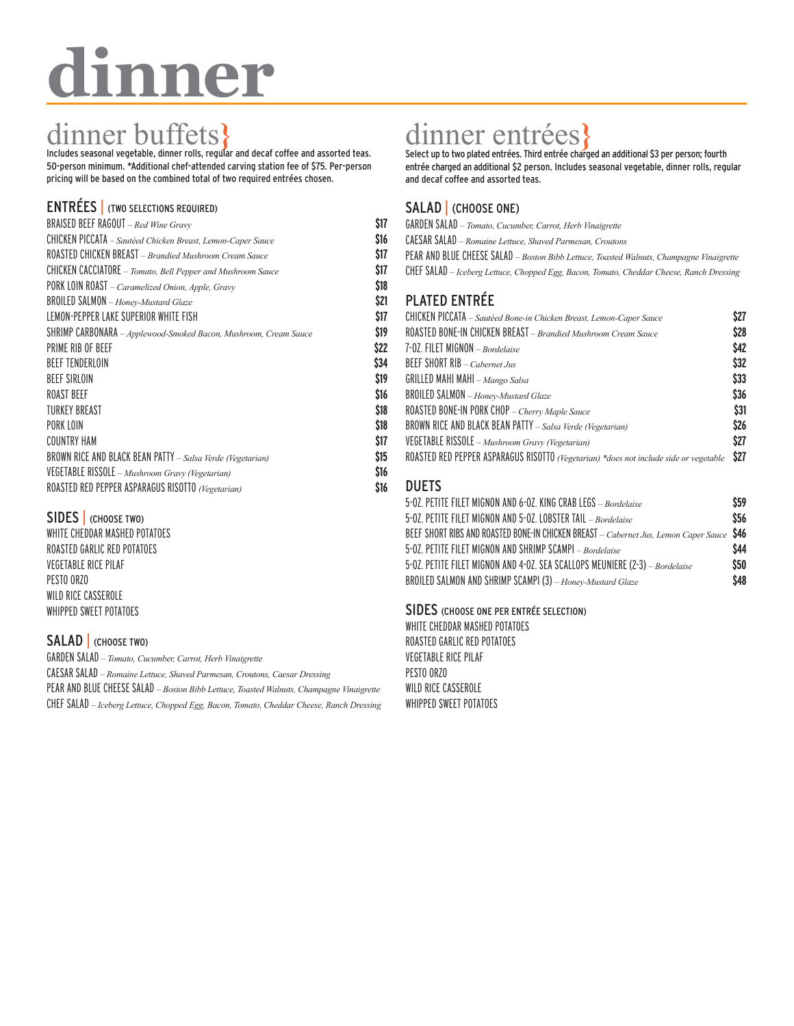# **dinner**

# dinner buffets<br>
Includes seasonal vegetable, dinner rolls, regular and decaf coffee and assorted teas.

50-person minimum. \*Additional chef-attended carving station fee of \$75. Per-person pricing will be based on the combined total of two required entrées chosen.

# ENTRÉES | (TWO SELECTIONS REQUIRED)

| BRAISED BEEF RAGOUT - Red Wine Gravy                             | \$17 |
|------------------------------------------------------------------|------|
| CHICKEN PICCATA - Sautéed Chicken Breast, Lemon-Caper Sauce      | \$16 |
| ROASTED CHICKEN BREAST - Brandied Mushroom Cream Sauce           | \$17 |
| CHICKEN CACCIATORE - Tomato, Bell Pepper and Mushroom Sauce      | \$17 |
| PORK LOIN ROAST - Caramelized Onion, Apple, Gravy                | \$18 |
| <b>BROILED SALMON</b> - Honey-Mustard Glaze                      | \$21 |
| LEMON-PEPPER LAKE SUPERIOR WHITE FISH                            | \$17 |
| SHRIMP CARBONARA - Applewood-Smoked Bacon, Mushroom, Cream Sauce | \$19 |
| PRIME RIB OF BFFF                                                | \$22 |
| <b>BEEF TENDERLOIN</b>                                           | \$34 |
| <b>BEEF SIRLOIN</b>                                              | \$19 |
| <b>ROAST BEEF</b>                                                | \$16 |
| TURKEY BREAST                                                    | \$18 |
| PORK LOIN                                                        | \$18 |
| <b>COUNTRY HAM</b>                                               | \$17 |
| BROWN RICE AND BLACK BEAN PATTY - Salsa Verde (Vegetarian)       | \$15 |
| VEGETABLE RISSOLE - Mushroom Gravy (Vegetarian)                  | \$16 |
| ROASTED RED PEPPER ASPARAGUS RISOTTO (Vegetarian)                | S16  |
|                                                                  |      |

## SIDES | (CHOOSE TWO)

WHITE CHEDDAR MASHED POTATOES ROASTED GARLIC RED POTATOES VEGETABLE RICE PILAF PESTO ORZO WILD RICE CASSEROLE WHIPPED SWEET POTATOES

## SALAD (CHOOSE TWO)

GARDEN SALAD *– Tomato, Cucumber, Carrot, Herb Vinaigrette* CAESAR SALAD *– Romaine Lettuce, Shaved Parmesan, Croutons, Caesar Dressing* PEAR AND BLUE CHEESE SALAD *– Boston Bibb Lettuce, Toasted Walnuts, Champagne Vinaigrette* CHEF SALAD *– Iceberg Lettuce, Chopped Egg, Bacon, Tomato, Cheddar Cheese, Ranch Dressing*

# dinner entrées, Thirdes **Select up to two plated entrées.** Third entrée charged an additional \$3 per person; fourth

entrée charged an additional \$2 person. Includes seasonal vegetable, dinner rolls, regular and decaf coffee and assorted teas.

# SALAD | (CHOOSE ONE)

- GARDEN SALAD  *Tomato, Cucumber, Carrot, Herb Vinaigrette*
- CAESAR SALAD  *Romaine Lettuce, Shaved Parmesan, Croutons*
- PEAR AND BLUE CHEESE SALAD  *Boston Bibb Lettuce, Toasted Walnuts, Champagne Vinaigrette*
- CHEF SALAD  *Iceberg Lettuce, Chopped Egg, Bacon, Tomato, Cheddar Cheese, Ranch Dressing*

# PLATED ENTRÉE

| CHICKEN PICCATA - Sautéed Bone-in Chicken Breast, Lemon-Caper Sauce                   | \$27 |
|---------------------------------------------------------------------------------------|------|
| ROASTED BONE-IN CHICKEN BREAST - Brandied Mushroom Cream Sauce                        | \$28 |
| 7-02. FILET MIGNON - Bordelaise                                                       | \$42 |
| <b>BEEF SHORT RIB</b> – <i>Cabernet Jus</i>                                           | \$32 |
| GRILLED MAHI MAHI - $Mango$ Salsa                                                     | \$33 |
| BROILED SALMON - Honey-Mustard Glaze                                                  | \$36 |
| ROASTED BONE-IN PORK CHOP - Cherry Maple Sauce                                        | \$31 |
| BROWN RICE AND BLACK BEAN PATTY - Salsa Verde (Vegetarian)                            | \$26 |
| VEGETABLE RISSOLE - Mushroom Gravy (Vegetarian)                                       | \$27 |
| ROASTED RED PEPPER ASPARAGUS RISOTTO (Vegetarian) *does not include side or vegetable | \$27 |
|                                                                                       |      |

## DUETS

| 5-02. PETITE FILET MIGNON AND 6-02. KING CRAB LEGS - Bordelaise                           | \$59 |
|-------------------------------------------------------------------------------------------|------|
| 5-02. PETITE FILET MIGNON AND 5-02. LOBSTER TAIL - Bordelaise                             | \$56 |
| BEEF SHORT RIBS AND ROASTED BONE-IN CHICKEN BREAST - Cabernet Jus, Lemon Caper Sauce \$46 |      |
| 5-02. PETITE FILET MIGNON AND SHRIMP SCAMPI - Bordelaise                                  | \$44 |
| 5-02. PETITE FILET MIGNON AND 4-02. SEA SCALLOPS MEUNIERE (2-3) - Bordelaise              | \$50 |
| BROILED SALMON AND SHRIMP SCAMPI (3) - Honey-Mustard Glaze                                | \$48 |

#### SIDES (CHOOSE ONE PER ENTRÉE SELECTION)

WHITE CHEDDAR MASHED POTATOES ROASTED GARLIC RED POTATOES VEGETABLE RICE PILAF PESTO ORZO WILD RICE CASSEROLE WHIPPED SWEET POTATOES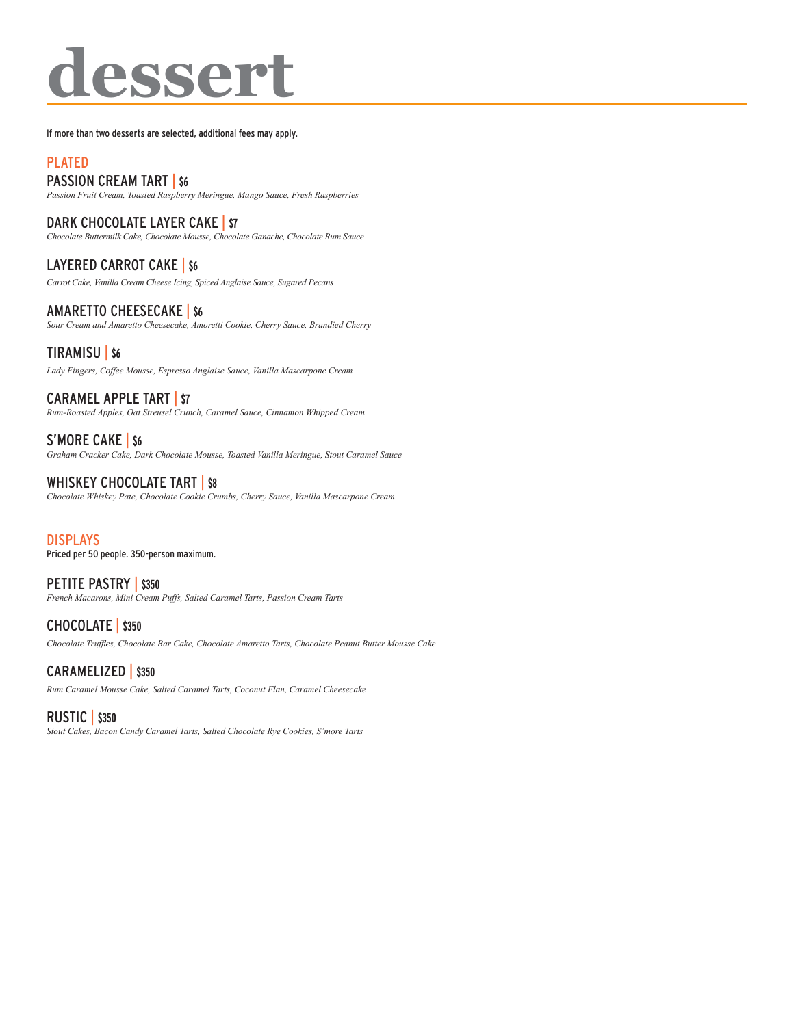# **dessert**

If more than two desserts are selected, additional fees may apply.

# PLATED

# PASSION CREAM TART | **\$6**

*Passion Fruit Cream, Toasted Raspberry Meringue, Mango Sauce, Fresh Raspberries*

DARK CHOCOLATE LAYER CAKE | **\$7** *Chocolate Buttermilk Cake, Chocolate Mousse, Chocolate Ganache, Chocolate Rum Sauce*

LAYERED CARROT CAKE | **\$6** *Carrot Cake, Vanilla Cream Cheese Icing, Spiced Anglaise Sauce, Sugared Pecans*

AMARETTO CHEESECAKE | **\$6** *Sour Cream and Amaretto Cheesecake, Amoretti Cookie, Cherry Sauce, Brandied Cherry*

## TIRAMISU | **\$6**

*Lady Fingers, Coffee Mousse, Espresso Anglaise Sauce, Vanilla Mascarpone Cream*

CARAMEL APPLE TART | **\$7** *Rum-Roasted Apples, Oat Streusel Crunch, Caramel Sauce, Cinnamon Whipped Cream*

S'MORE CAKE | **\$6** *Graham Cracker Cake, Dark Chocolate Mousse, Toasted Vanilla Meringue, Stout Caramel Sauce*

WHISKEY CHOCOLATE TART | **\$8** *Chocolate Whiskey Pate, Chocolate Cookie Crumbs, Cherry Sauce, Vanilla Mascarpone Cream*

DISPLAYS Priced per 50 people. 350-person maximum.

PETITE PASTRY | \$350 *French Macarons, Mini Cream Puffs, Salted Caramel Tarts, Passion Cream Tarts*

CHOCOLATE | **\$350** *Chocolate Truffles, Chocolate Bar Cake, Chocolate Amaretto Tarts, Chocolate Peanut Butter Mousse Cake*

CARAMELIZED | **\$350** *Rum Caramel Mousse Cake, Salted Caramel Tarts, Coconut Flan, Caramel Cheesecake*

# RUSTIC | **\$350**

*Stout Cakes, Bacon Candy Caramel Tarts, Salted Chocolate Rye Cookies, S'more Tarts*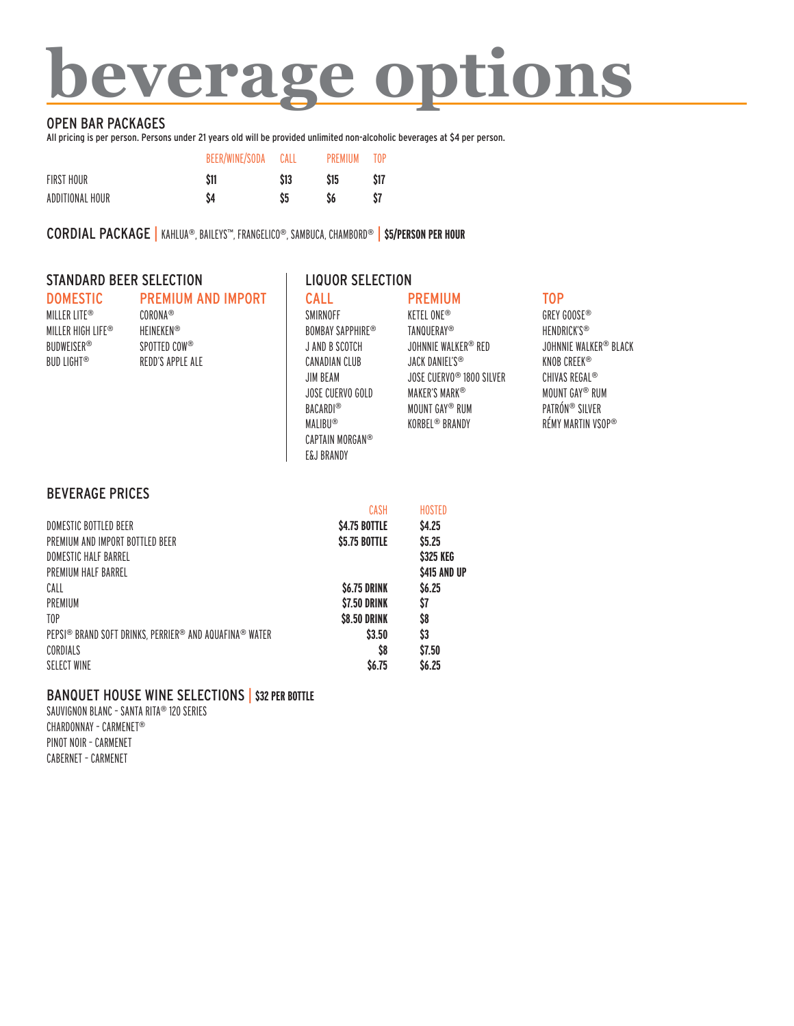# **beverage options**

### OPEN BAR PACKAGES

All pricing is per person. Persons under 21 years old will be provided unlimited non-alcoholic beverages at \$4 per person.

|                 | BEER/WINE/SODA | CALL | <b>PRFMIUM</b> | T <sub>0</sub> P |
|-----------------|----------------|------|----------------|------------------|
| FIRST HOUR      | \$11           | \$13 | \$15           | \$17             |
| ADDITIONAL HOUR | S4             |      |                | S7               |

CORDIAL PACKAGE | KAHLUA®, BAILEYS™, FRANGELICO®, SAMBUCA, CHAMBORD® | **\$5/PERSON PER HOUR**

### STANDARD BEER SELECTION FOR LIQUOR SELECTION

| <b>DOMESTIC</b>   | <b>PREMIUM AND IMPORT</b> |
|-------------------|---------------------------|
| MILLER LITE®      | CORONA®                   |
| MILLER HIGH LIFF® | <b>HFINFKFN®</b>          |
| <b>BUDWEISER®</b> | SPOTTED COW®              |
| <b>BUD LIGHT®</b> | REDD'S APPLE AIF          |
|                   |                           |

# CALL

SMIRNOFF

BACARDI® **MALIBU®** 

E&J BRANDY

JANDB SCOTCH CANADIAN CLUB JIM BEAM

BOMBAY SAPPHIRE® JOSE CUERVO GOLD CAPTAIN MORGAN® PREMIUM **KETEL ONE®** TANQUERAY® JOHNNIE WALKER® RED JACK DANIEL'S® JOSE CUERVO® 1800 SILVER MAKER'S MARK® MOUNTGAY® RUM KORBEL® BRANDY

# TOP

GREYGOOSE® HENDRICK'S® JOHNNIE WALKER® BLACK KNOB CREEK® CHIVAS REGAL® MOUNTGAY® RUM PATRÓN® SILVER RÉMY MARTIN VSOP®

### BEVERAGE PRICES

|                                                        | CASH                | <b>HOSTED</b>     |
|--------------------------------------------------------|---------------------|-------------------|
| DOMESTIC BOTTLED BEER                                  | \$4.75 BOTTLE       | <b>S4.25</b>      |
| PREMIUM AND IMPORT BOTTLED BEER                        | \$5.75 BOTTLE       | \$5.25            |
| DOMESTIC HALF BARREL                                   |                     | \$325 KEG         |
| PREMIUM HALF BARREL                                    |                     | \$415 AND UP      |
| CALL                                                   | <b>\$6.75 DRINK</b> | S <sub>6.25</sub> |
| PREMIUM                                                | <b>\$7.50 DRINK</b> | \$7               |
| T <sub>0</sub> P                                       | <b>\$8.50 DRINK</b> | S8                |
| PEPSI® BRAND SOFT DRINKS, PERRIER® AND AQUAFINA® WATER | \$3.50              | \$3               |
| CORDIALS                                               | \$8                 | \$7.50            |
| <b>SELECT WINE</b>                                     | \$6.75              | <b>S6.25</b>      |

## BANQUET HOUSE WINE SELECTIONS | **\$32 PERBOTTLE**

SAUVIGNON BLANC - SANTA RITA® 120 SERIES CHARDONNAY – CARMENET® PINOT NOIR - CARMENET CABERNET – CARMENET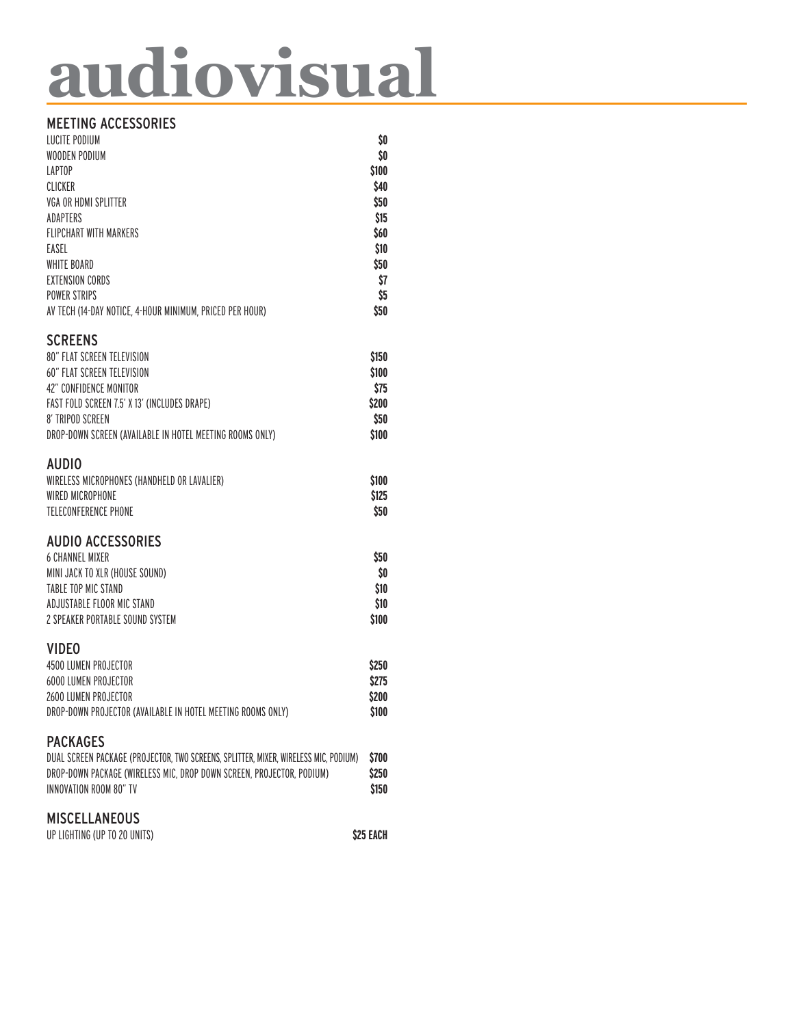# **audiovisual**

# MEETING ACCESSORIES

| <b>LUCITE PODIUM</b><br>WOODEN PODIUM<br><b>LAPTOP</b><br>CLICKER<br>VGA OR HDMI SPLITTER<br>ADAPTERS<br><b>FLIPCHART WITH MARKERS</b><br>EASEL<br><b>WHITE BOARD</b><br><b>FXTENSION CORDS</b><br><b>POWER STRIPS</b>                                                                                         | \$0<br>\$0<br>\$100<br>\$40<br>\$50<br>\$15<br>\$60<br>\$10<br>\$50<br>\$7<br>\$5 |
|----------------------------------------------------------------------------------------------------------------------------------------------------------------------------------------------------------------------------------------------------------------------------------------------------------------|-----------------------------------------------------------------------------------|
| AV TECH (14-DAY NOTICE, 4-HOUR MINIMUM, PRICED PER HOUR)<br><b>SCREENS</b><br><b>80" FLAT SCREEN TELEVISION</b><br><b>60" FLAT SCREEN TELEVISION</b><br>42" CONFIDENCE MONITOR<br>FAST FOLD SCREEN 7.5' X 13' (INCLUDES DRAPE)<br>8' TRIPOD SCREEN<br>DROP-DOWN SCREEN (AVAILABLE IN HOTEL MEETING ROOMS ONLY) | \$50<br>\$150<br>\$100<br>\$75<br>\$200<br>\$50<br>\$100                          |
| <b>AUDIO</b><br>WIRELESS MICROPHONES (HANDHELD OR LAVALIER)<br>WIRED MICROPHONE<br>TELECONFERENCE PHONE                                                                                                                                                                                                        | \$100<br>\$125<br>\$50                                                            |
| <b>AUDIO ACCESSORIES</b><br><b>6 CHANNEL MIXER</b><br>MINI JACK TO XLR (HOUSE SOUND)<br>TABLE TOP MIC STAND<br>ADJUSTABLE FLOOR MIC STAND<br>2 SPEAKER PORTABLE SOUND SYSTEM                                                                                                                                   | \$50<br>\$0<br>\$10<br>\$10<br>\$100                                              |
| <b>VIDEO</b><br>4500 LUMEN PROJECTOR<br><b>6000 LUMEN PROJECTOR</b><br>2600 LUMEN PROJECTOR<br>DROP-DOWN PROJECTOR (AVAILABLE IN HOTEL MEETING ROOMS ONLY)                                                                                                                                                     | \$250<br>\$275<br>\$200<br>\$100                                                  |
| <b>PACKAGES</b><br>DUAL SCREEN PACKAGE (PROJECTOR, TWO SCREENS, SPLITTER, MIXER, WIRELESS MIC, PODIUM)<br>DROP-DOWN PACKAGE (WIRELESS MIC, DROP DOWN SCREEN, PROJECTOR, PODIUM)<br>INNOVATION ROOM 80" TV                                                                                                      | \$700<br>\$250<br>\$150                                                           |
| <b>MISCELLANEOUS</b><br>UP LIGHTING (UP TO 20 UNITS)                                                                                                                                                                                                                                                           | \$25 EACH                                                                         |